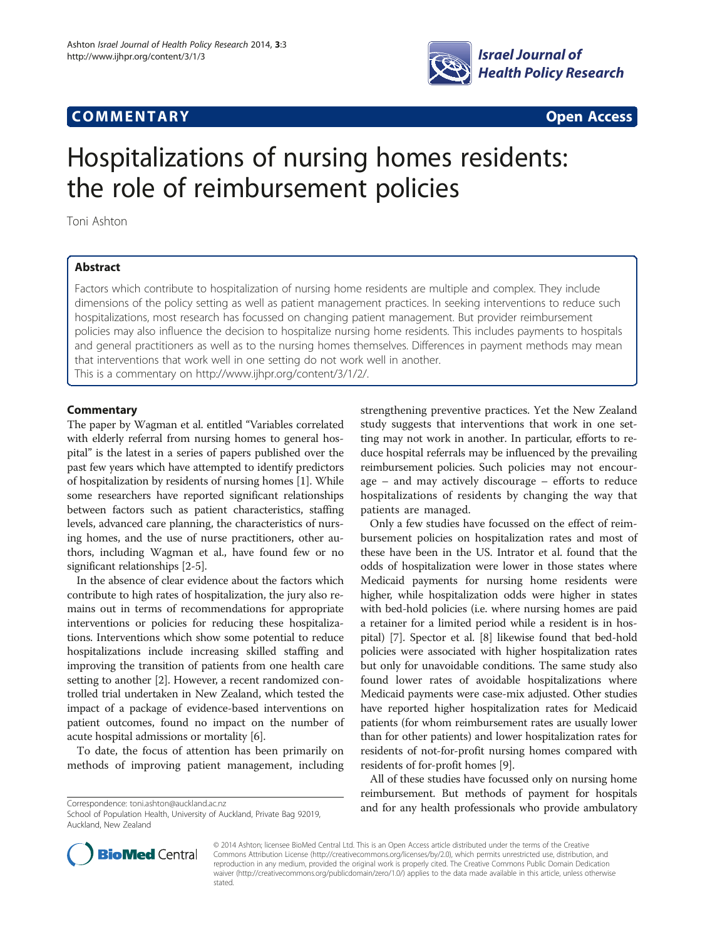## **COMMENTARY COMMENTARY Open Access**



# Hospitalizations of nursing homes residents: the role of reimbursement policies

Toni Ashton

## Abstract

Factors which contribute to hospitalization of nursing home residents are multiple and complex. They include dimensions of the policy setting as well as patient management practices. In seeking interventions to reduce such hospitalizations, most research has focussed on changing patient management. But provider reimbursement policies may also influence the decision to hospitalize nursing home residents. This includes payments to hospitals and general practitioners as well as to the nursing homes themselves. Differences in payment methods may mean that interventions that work well in one setting do not work well in another.

This is a commentary on [http://www.ijhpr.org/content/3/1/2/.](http://www.ijhpr.org/content/3/1/2/)

## **Commentary**

The paper by Wagman et al. entitled "Variables correlated with elderly referral from nursing homes to general hospital" is the latest in a series of papers published over the past few years which have attempted to identify predictors of hospitalization by residents of nursing homes [[1](#page-1-0)]. While some researchers have reported significant relationships between factors such as patient characteristics, staffing levels, advanced care planning, the characteristics of nursing homes, and the use of nurse practitioners, other authors, including Wagman et al., have found few or no significant relationships [[2-](#page-1-0)[5\]](#page-2-0).

In the absence of clear evidence about the factors which contribute to high rates of hospitalization, the jury also remains out in terms of recommendations for appropriate interventions or policies for reducing these hospitalizations. Interventions which show some potential to reduce hospitalizations include increasing skilled staffing and improving the transition of patients from one health care setting to another [[2\]](#page-1-0). However, a recent randomized controlled trial undertaken in New Zealand, which tested the impact of a package of evidence-based interventions on patient outcomes, found no impact on the number of acute hospital admissions or mortality [[6](#page-2-0)].

To date, the focus of attention has been primarily on methods of improving patient management, including

strengthening preventive practices. Yet the New Zealand study suggests that interventions that work in one setting may not work in another. In particular, efforts to reduce hospital referrals may be influenced by the prevailing reimbursement policies. Such policies may not encourage – and may actively discourage – efforts to reduce hospitalizations of residents by changing the way that patients are managed.

Only a few studies have focussed on the effect of reimbursement policies on hospitalization rates and most of these have been in the US. Intrator et al. found that the odds of hospitalization were lower in those states where Medicaid payments for nursing home residents were higher, while hospitalization odds were higher in states with bed-hold policies (i.e. where nursing homes are paid a retainer for a limited period while a resident is in hospital) [\[7](#page-2-0)]. Spector et al. [\[8](#page-2-0)] likewise found that bed-hold policies were associated with higher hospitalization rates but only for unavoidable conditions. The same study also found lower rates of avoidable hospitalizations where Medicaid payments were case-mix adjusted. Other studies have reported higher hospitalization rates for Medicaid patients (for whom reimbursement rates are usually lower than for other patients) and lower hospitalization rates for residents of not-for-profit nursing homes compared with residents of for-profit homes [\[9\]](#page-2-0).

All of these studies have focussed only on nursing home reimbursement. But methods of payment for hospitals Correspondence: [toni.ashton@auckland.ac.nz](mailto:toni.ashton@auckland.ac.nz)<br>Coheal of Davidition Useful: Using the Augkland Division 20010 and for any health professionals who provide ambulatory



© 2014 Ashton; licensee BioMed Central Ltd. This is an Open Access article distributed under the terms of the Creative Commons Attribution License [\(http://creativecommons.org/licenses/by/2.0\)](http://creativecommons.org/licenses/by/2.0), which permits unrestricted use, distribution, and reproduction in any medium, provided the original work is properly cited. The Creative Commons Public Domain Dedication waiver [\(http://creativecommons.org/publicdomain/zero/1.0/\)](http://creativecommons.org/publicdomain/zero/1.0/) applies to the data made available in this article, unless otherwise stated.

School of Population Health, University of Auckland, Private Bag 92019, Auckland, New Zealand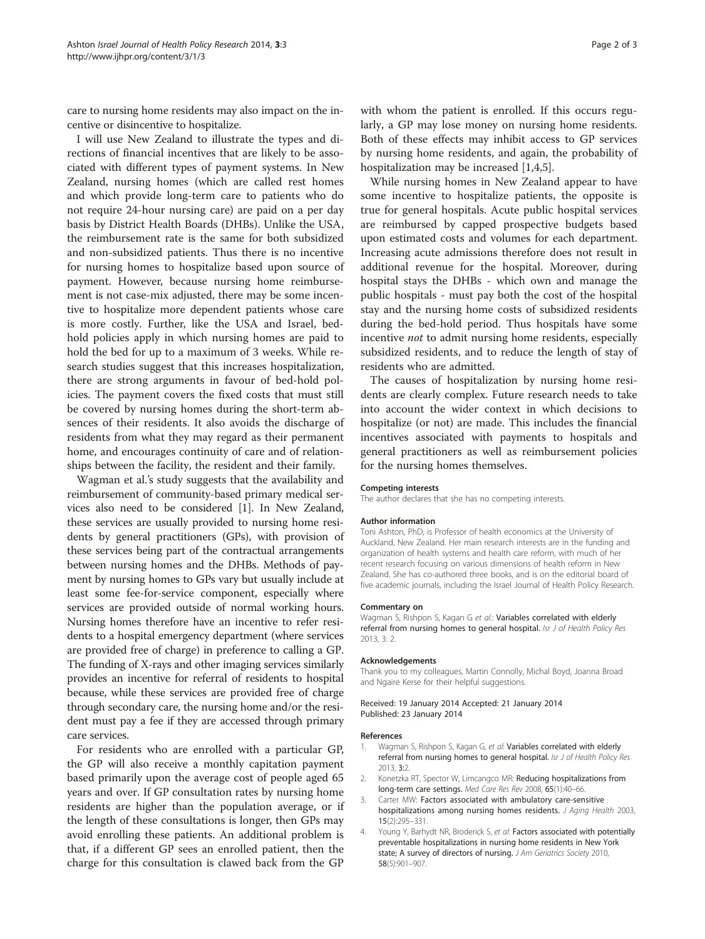<span id="page-1-0"></span>care to nursing home residents may also impact on the incentive or disincentive to hospitalize.

I will use New Zealand to illustrate the types and directions of financial incentives that are likely to be associated with different types of payment systems. In New Zealand, nursing homes (which are called rest homes and which provide long-term care to patients who do not require 24-hour nursing care) are paid on a per day basis by District Health Boards (DHBs). Unlike the USA, the reimbursement rate is the same for both subsidized and non-subsidized patients. Thus there is no incentive for nursing homes to hospitalize based upon source of payment. However, because nursing home reimbursement is not case-mix adjusted, there may be some incentive to hospitalize more dependent patients whose care is more costly. Further, like the USA and Israel, bedhold policies apply in which nursing homes are paid to hold the bed for up to a maximum of 3 weeks. While research studies suggest that this increases hospitalization, there are strong arguments in favour of bed-hold policies. The payment covers the fixed costs that must still be covered by nursing homes during the short-term absences of their residents. It also avoids the discharge of residents from what they may regard as their permanent home, and encourages continuity of care and of relationships between the facility, the resident and their family.

Wagman et al.'s study suggests that the availability and reimbursement of community-based primary medical services also need to be considered [1]. In New Zealand, these services are usually provided to nursing home residents by general practitioners (GPs), with provision of these services being part of the contractual arrangements between nursing homes and the DHBs. Methods of payment by nursing homes to GPs vary but usually include at least some fee-for-service component, especially where services are provided outside of normal working hours. Nursing homes therefore have an incentive to refer residents to a hospital emergency department (where services are provided free of charge) in preference to calling a GP. The funding of X-rays and other imaging services similarly provides an incentive for referral of residents to hospital because, while these services are provided free of charge through secondary care, the nursing home and/or the resident must pay a fee if they are accessed through primary care services.

For residents who are enrolled with a particular GP, the GP will also receive a monthly capitation payment based primarily upon the average cost of people aged 65 years and over. If GP consultation rates by nursing home residents are higher than the population average, or if the length of these consultations is longer, then GPs may avoid enrolling these patients. An additional problem is that, if a different GP sees an enrolled patient, then the charge for this consultation is clawed back from the GP

with whom the patient is enrolled. If this occurs regularly, a GP may lose money on nursing home residents. Both of these effects may inhibit access to GP services by nursing home residents, and again, the probability of hospitalization may be increased [1,4[,5](#page-2-0)].

While nursing homes in New Zealand appear to have some incentive to hospitalize patients, the opposite is true for general hospitals. Acute public hospital services are reimbursed by capped prospective budgets based upon estimated costs and volumes for each department. Increasing acute admissions therefore does not result in additional revenue for the hospital. Moreover, during hospital stays the DHBs - which own and manage the public hospitals - must pay both the cost of the hospital stay and the nursing home costs of subsidized residents during the bed-hold period. Thus hospitals have some incentive not to admit nursing home residents, especially subsidized residents, and to reduce the length of stay of residents who are admitted.

The causes of hospitalization by nursing home residents are clearly complex. Future research needs to take into account the wider context in which decisions to hospitalize (or not) are made. This includes the financial incentives associated with payments to hospitals and general practitioners as well as reimbursement policies for the nursing homes themselves.

#### Competing interests

The author declares that she has no competing interests.

#### Author information

Toni Ashton, PhD, is Professor of health economics at the University of Auckland, New Zealand. Her main research interests are in the funding and organization of health systems and health care reform, with much of her recent research focusing on various dimensions of health reform in New Zealand. She has co-authored three books, and is on the editorial board of five academic journals, including the Israel Journal of Health Policy Research.

#### Commentary on

Wagman S, Rishpon S, Kagan G et al.: Variables correlated with elderly referral from nursing homes to general hospital. Isr J of Health Policy Res 2013, 3: 2.

#### Acknowledgements

Thank you to my colleagues, Martin Connolly, Michal Boyd, Joanna Broad and Ngaire Kerse for their helpful suggestions.

Received: 19 January 2014 Accepted: 21 January 2014 Published: 23 January 2014

#### References

- Wagman S, Rishpon S, Kagan G, et al: Variables correlated with elderly referral from nursing homes to general hospital. Isr J of Health Policy Res 2013, 3:2.
- 2. Konetzka RT, Spector W, Limcangco MR: Reducing hospitalizations from long-term care settings. Med Care Res Rev 2008, 65(1):40–66.
- 3. Carter MW: Factors associated with ambulatory care-sensitive hospitalizations among nursing homes residents. J Aging Health 2003, 15(2):295–331.
- 4. Young Y, Barhydt NR, Broderick S, et al: Factors associated with potentially preventable hospitalizations in nursing home residents in New York state; A survey of directors of nursing. J Am Geriatrics Society 2010, 58(5):901–907.